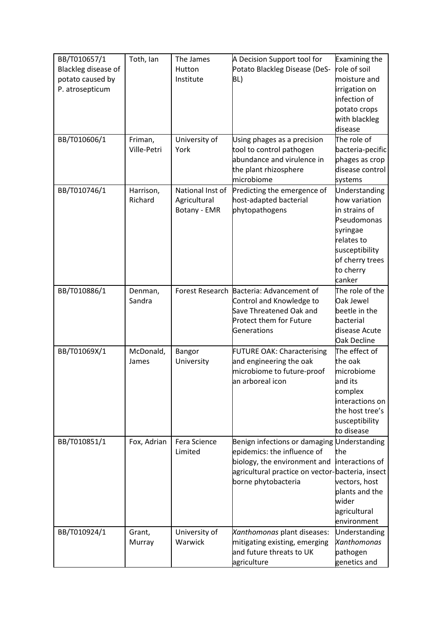| BB/T010657/1<br>Blackleg disease of<br>potato caused by<br>P. atrosepticum | Toth, Ian              | The James<br>Hutton<br>Institute                 | A Decision Support tool for<br>Potato Blackleg Disease (DeS-<br>BL)                                                                                                                   | <b>Examining the</b><br>role of soil<br>moisture and<br>irrigation on<br>infection of<br>potato crops<br>with blackleg                               |
|----------------------------------------------------------------------------|------------------------|--------------------------------------------------|---------------------------------------------------------------------------------------------------------------------------------------------------------------------------------------|------------------------------------------------------------------------------------------------------------------------------------------------------|
| BB/T010606/1                                                               | Friman,<br>Ville-Petri | University of<br>York                            | Using phages as a precision<br>tool to control pathogen<br>abundance and virulence in                                                                                                 | disease<br>The role of<br>bacteria-pecific<br>phages as crop                                                                                         |
|                                                                            |                        |                                                  | the plant rhizosphere<br>microbiome                                                                                                                                                   | disease control<br>systems                                                                                                                           |
| BB/T010746/1                                                               | Harrison,<br>Richard   | National Inst of<br>Agricultural<br>Botany - EMR | Predicting the emergence of<br>host-adapted bacterial<br>phytopathogens                                                                                                               | Understanding<br>how variation<br>in strains of<br>Pseudomonas<br>syringae<br>relates to<br>susceptibility<br>of cherry trees<br>to cherry<br>canker |
| BB/T010886/1                                                               | Denman,<br>Sandra      |                                                  | Forest Research Bacteria: Advancement of<br>Control and Knowledge to<br>Save Threatened Oak and<br>Protect them for Future<br>Generations                                             | The role of the<br>Oak Jewel<br>beetle in the<br>bacterial<br>disease Acute<br>Oak Decline                                                           |
| BB/T01069X/1                                                               | McDonald,<br>James     | Bangor<br>University                             | <b>FUTURE OAK: Characterising</b><br>and engineering the oak<br>microbiome to future-proof<br>an arboreal icon                                                                        | The effect of<br>the oak<br>microbiome<br>and its<br>complex<br>interactions on<br>the host tree's<br>susceptibility<br>to disease                   |
| BB/T010851/1                                                               | Fox, Adrian            | Fera Science<br>Limited                          | Benign infections or damaging Understanding<br>epidemics: the influence of<br>biology, the environment and<br>agricultural practice on vector-bacteria, insect<br>borne phytobacteria | the<br>interactions of<br>vectors, host<br>plants and the<br>wider<br>agricultural<br>environment                                                    |
| BB/T010924/1                                                               | Grant,<br>Murray       | University of<br>Warwick                         | Xanthomonas plant diseases:<br>mitigating existing, emerging<br>and future threats to UK<br>agriculture                                                                               | Understanding<br>Xanthomonas<br>pathogen<br>genetics and                                                                                             |